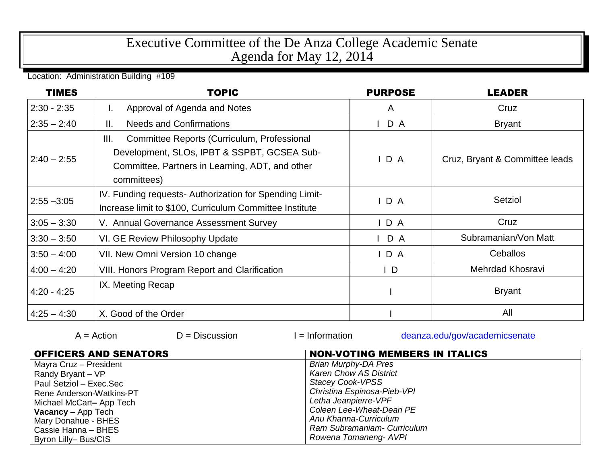## Executive Committee of the De Anza College Academic Senate Agenda for May 12, 2014

Location: Administration Building #109

| <b>TIMES</b>  | <b>TOPIC</b>                                                                                                                                                         | <b>PURPOSE</b> | <b>LEADER</b>                  |
|---------------|----------------------------------------------------------------------------------------------------------------------------------------------------------------------|----------------|--------------------------------|
| $2:30 - 2:35$ | Approval of Agenda and Notes<br>ı.                                                                                                                                   | A              | Cruz                           |
| $2:35 - 2:40$ | <b>Needs and Confirmations</b><br>Ⅱ.                                                                                                                                 | D A            | <b>Bryant</b>                  |
| $2:40 - 2:55$ | III.<br>Committee Reports (Curriculum, Professional<br>Development, SLOs, IPBT & SSPBT, GCSEA Sub-<br>Committee, Partners in Learning, ADT, and other<br>committees) | IDA            | Cruz, Bryant & Committee leads |
| $2:55 - 3:05$ | IV. Funding requests- Authorization for Spending Limit-<br>Increase limit to \$100, Curriculum Committee Institute                                                   | $I$ D A        | Setziol                        |
| $3:05 - 3:30$ | V. Annual Governance Assessment Survey                                                                                                                               | IDA            | Cruz                           |
| $3:30 - 3:50$ | VI. GE Review Philosophy Update                                                                                                                                      | $I$ D A        | Subramanian/Von Matt           |
| $3:50 - 4:00$ | VII. New Omni Version 10 change                                                                                                                                      | IDA            | Ceballos                       |
| $4:00 - 4:20$ | <b>VIII. Honors Program Report and Clarification</b>                                                                                                                 | $\vert$ D      | Mehrdad Khosravi               |
| $4:20 - 4:25$ | IX. Meeting Recap                                                                                                                                                    |                | <b>Bryant</b>                  |
| $4:25 - 4:30$ | X. Good of the Order                                                                                                                                                 |                | All                            |

| $A = Action$                 | $D =$ Discussion | $l = Information$             | deanza.edu/gov/academicsenate        |  |  |
|------------------------------|------------------|-------------------------------|--------------------------------------|--|--|
| <b>OFFICERS AND SENATORS</b> |                  |                               | <b>NON-VOTING MEMBERS IN ITALICS</b> |  |  |
| Mayra Cruz - President       |                  | <b>Brian Murphy-DA Pres</b>   |                                      |  |  |
| Randy Bryant - VP            |                  | <b>Karen Chow AS District</b> |                                      |  |  |
| Paul Setziol - Exec.Sec      |                  | <b>Stacey Cook-VPSS</b>       |                                      |  |  |
| Rene Anderson-Watkins-PT     |                  | Christina Espinosa-Pieb-VPI   |                                      |  |  |
| Michael McCart-App Tech      |                  | Letha Jeanpierre-VPF          |                                      |  |  |
| <b>Vacancy</b> - App Tech    |                  |                               | Coleen Lee-Wheat-Dean PE             |  |  |
| Mary Donahue - BHES          |                  | Anu Khanna-Curriculum         |                                      |  |  |
| Cassie Hanna - BHES          |                  |                               | Ram Subramaniam- Curriculum          |  |  |
| Byron Lilly-Bus/CIS          |                  | Rowena Tomaneng- AVPI         |                                      |  |  |